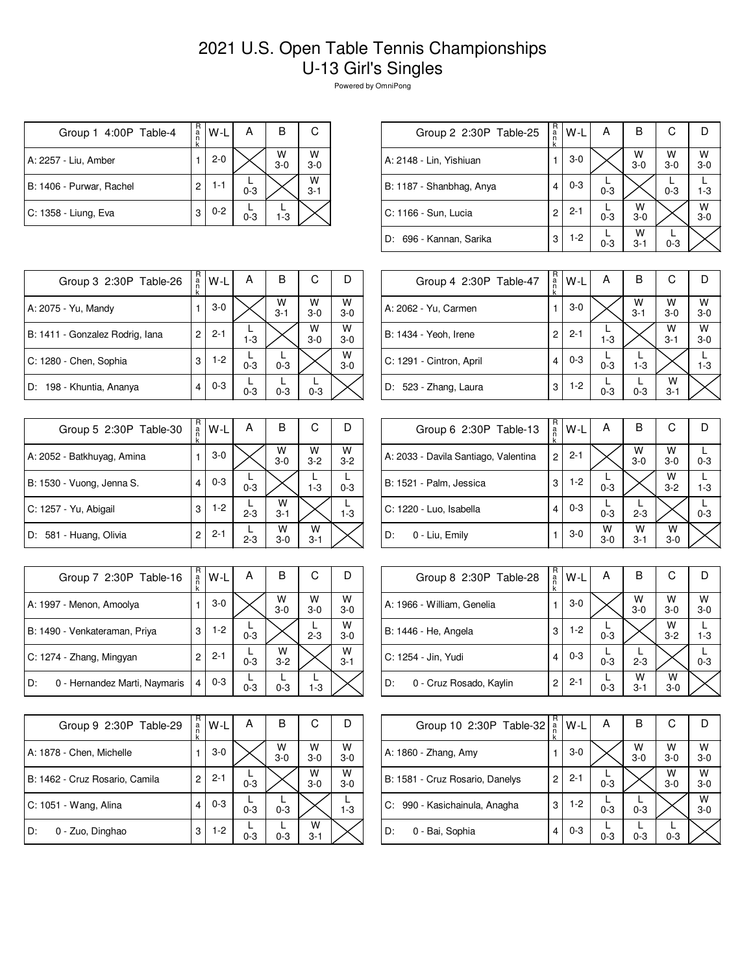## 2021 U.S. Open Table Tennis Championships U-13 Girl's Singles

Powered by OmniPong

| Group 1 4:00P Table-4    | R<br>a<br>n | W-L     | А       | В          | С            |
|--------------------------|-------------|---------|---------|------------|--------------|
| A: 2257 - Liu, Amber     |             | $2 - 0$ |         | W<br>$3-0$ | W<br>$3 - 0$ |
| B: 1406 - Purwar, Rachel | 2           | 1-1     | $0 - 3$ |            | W<br>$3 - 1$ |
| C: 1358 - Liung, Eva     | 3           | $0 - 2$ | $0 - 3$ | $1 - 3$    |              |

| Group 2 2:30P Table-25   | R<br>$\frac{a}{n}$<br>k | W-L     | Α       | В            | С                  |              |
|--------------------------|-------------------------|---------|---------|--------------|--------------------|--------------|
| A: 2148 - Lin, Yishiuan  |                         | $3-0$   |         | W<br>$3-0$   | $W$ <sub>3-0</sub> | w<br>$3-0$   |
| B: 1187 - Shanbhag, Anya | 4                       | $0 - 3$ | $0 - 3$ |              | $0 - 3$            | $1 - 3$      |
| C: 1166 - Sun, Lucia     | 2                       | $2 - 1$ | $0 - 3$ | W<br>$3 - 0$ |                    | W<br>$3 - 0$ |
| D: 696 - Kannan, Sarika  | 3                       | $1-2$   | $0 - 3$ | w<br>$3 - 1$ | $0 - 3$            |              |
|                          |                         |         |         |              |                    |              |

| Group 3 2:30P Table-26          | R<br>a<br>n<br>k | W-L     | А       | в            | С          |              |
|---------------------------------|------------------|---------|---------|--------------|------------|--------------|
| A: 2075 - Yu, Mandy             |                  | $3-0$   |         | W<br>$3 - 1$ | W<br>$3-0$ | W<br>$3-0$   |
| B: 1411 - Gonzalez Rodrig, Iana | 2                | $2 - 1$ | $1 - 3$ |              | W<br>$3-0$ | W<br>$3-0$   |
| C: 1280 - Chen, Sophia          | 3                | $1-2$   | $0 - 3$ | $0 - 3$      |            | W<br>$3 - 0$ |
| D: 198 - Khuntia, Ananya        | 4                | $0 - 3$ | $0 - 3$ | $0 - 3$      | $0 - 3$    |              |

| Group 5 2:30P Table-30     | R<br>a<br>k | W-L     | Α       | B            | С            |              |
|----------------------------|-------------|---------|---------|--------------|--------------|--------------|
| A: 2052 - Batkhuyag, Amina |             | $3-0$   |         | W<br>$3-0$   | W<br>$3 - 2$ | W<br>$3 - 2$ |
| B: 1530 - Vuong, Jenna S.  |             | $0 - 3$ | $0 - 3$ |              | $1 - 3$      | $0 - 3$      |
| C: 1257 - Yu, Abigail      | 3           | $1-2$   | $2 - 3$ | W<br>$3 - 1$ |              | $1 - 3$      |
| D: 581 - Huang, Olivia     | 2           | $2 - 1$ | $2 - 3$ | w<br>$3-0$   | w<br>$3 - 1$ |              |

| Group 7 2:30P Table-16              | R<br>$\frac{a}{n}$<br>k | W-L     | А       | В          | С          |              |
|-------------------------------------|-------------------------|---------|---------|------------|------------|--------------|
| A: 1997 - Menon, Amoolya            |                         | $3-0$   |         | W<br>$3-0$ | W<br>$3-0$ | W<br>$3-0$   |
| B: 1490 - Venkateraman, Priya       | 3                       | $1-2$   | $0 - 3$ |            | $2 - 3$    | W<br>$3-0$   |
| C: 1274 - Zhang, Mingyan            | 2                       | $2 - 1$ | $0 - 3$ | W<br>$3-2$ |            | W<br>$3 - 1$ |
| 0 - Hernandez Marti, Naymaris<br>D: | 4                       | $0 - 3$ | $0 - 3$ | $0 - 3$    | $1 - 3$    |              |

| Group 9 2:30P Table-29         | R<br>a<br>n<br>k | W-L     | Α       | в          | С            |            |
|--------------------------------|------------------|---------|---------|------------|--------------|------------|
| A: 1878 - Chen, Michelle       |                  | $3-0$   |         | w<br>$3-0$ | W<br>$3-0$   | W<br>$3-0$ |
| B: 1462 - Cruz Rosario, Camila | 2                | $2 - 1$ | $0 - 3$ |            | W<br>$3-0$   | W<br>$3-0$ |
| C: 1051 - Wang, Alina          | 4                | $0 - 3$ | $0 - 3$ | $0 - 3$    |              | 1-3        |
| D:<br>0 - Zuo, Dinghao         | 3                | $1-2$   | $0 - 3$ | $0 - 3$    | w<br>$3 - 1$ |            |

| Group 4 2:30P Table-47   | R<br>a<br>n<br>k | W-L     | Α       | B            | С            |              |
|--------------------------|------------------|---------|---------|--------------|--------------|--------------|
| A: 2062 - Yu, Carmen     |                  | $3-0$   |         | W<br>$3 - 1$ | W<br>$3-0$   | W<br>$3 - 0$ |
| B: 1434 - Yeoh, Irene    | 2                | $2 - 1$ | $1 - 3$ |              | W<br>$3 - 1$ | W<br>$3-0$   |
| C: 1291 - Cintron, April | 4                | $0 - 3$ | $0 - 3$ | $1 - 3$      |              | $1-3$        |
| D: 523 - Zhang, Laura    | 3                | $1-2$   | $0 - 3$ | $0 - 3$      | W<br>$3 - 1$ |              |

| Group 6 2:30P Table-13               | R<br>a<br>k    | W-L     | Α          | в            | С            | IJ      |
|--------------------------------------|----------------|---------|------------|--------------|--------------|---------|
| A: 2033 - Davila Santiago, Valentina | $\overline{2}$ | $2 - 1$ |            | W<br>$3-0$   | W<br>$3 - 0$ | $0 - 3$ |
| B: 1521 - Palm, Jessica              | 3              | $1-2$   | $0 - 3$    |              | W<br>$3 - 2$ | $1 - 3$ |
| C: 1220 - Luo, Isabella              | 4              | $0 - 3$ | $0 - 3$    | $2 - 3$      |              | $0 - 3$ |
| D:<br>0 - Liu, Emily                 |                | $3-0$   | W<br>$3-0$ | w<br>$3 - 1$ | w<br>$3 - 0$ |         |

| Group 8 2:30P Table-28        | R<br>a<br>k | $W-L$   | А       | в                  | С            |                    |
|-------------------------------|-------------|---------|---------|--------------------|--------------|--------------------|
| A: 1966 - William, Genelia    |             | $3-0$   |         | $W$ <sub>3-0</sub> | W<br>$3-0$   | $W$ <sub>3-0</sub> |
| B: 1446 - He, Angela          | 3           | $1-2$   | $0 - 3$ |                    | W<br>$3 - 2$ | $1 - 3$            |
| C: 1254 - Jin, Yudi           | 4           | $0 - 3$ | $0 - 3$ | $2 - 3$            |              | $0 - 3$            |
| D:<br>0 - Cruz Rosado, Kaylin | 2           | $2 - 1$ | $0 - 3$ | w<br>$3 - 1$       | W<br>$3 - 0$ |                    |

| Group 10 2:30P Table-32         | R<br>a<br>k | W-L     | Α       | в          | С          |            |
|---------------------------------|-------------|---------|---------|------------|------------|------------|
| A: 1860 - Zhang, Amy            |             | $3-0$   |         | w<br>$3-0$ | W<br>$3-0$ | W<br>$3-0$ |
| B: 1581 - Cruz Rosario, Danelys | 2           | $2 - 1$ | $0 - 3$ |            | W<br>$3-0$ | w<br>$3-0$ |
| C: 990 - Kasichainula, Anagha   | 3           | $1-2$   | $0 - 3$ | $0 - 3$    |            | W<br>$3-0$ |
| 0 - Bai, Sophia<br>D:           | 4           | $0 - 3$ | $0 - 3$ | $0 - 3$    | $0 - 3$    |            |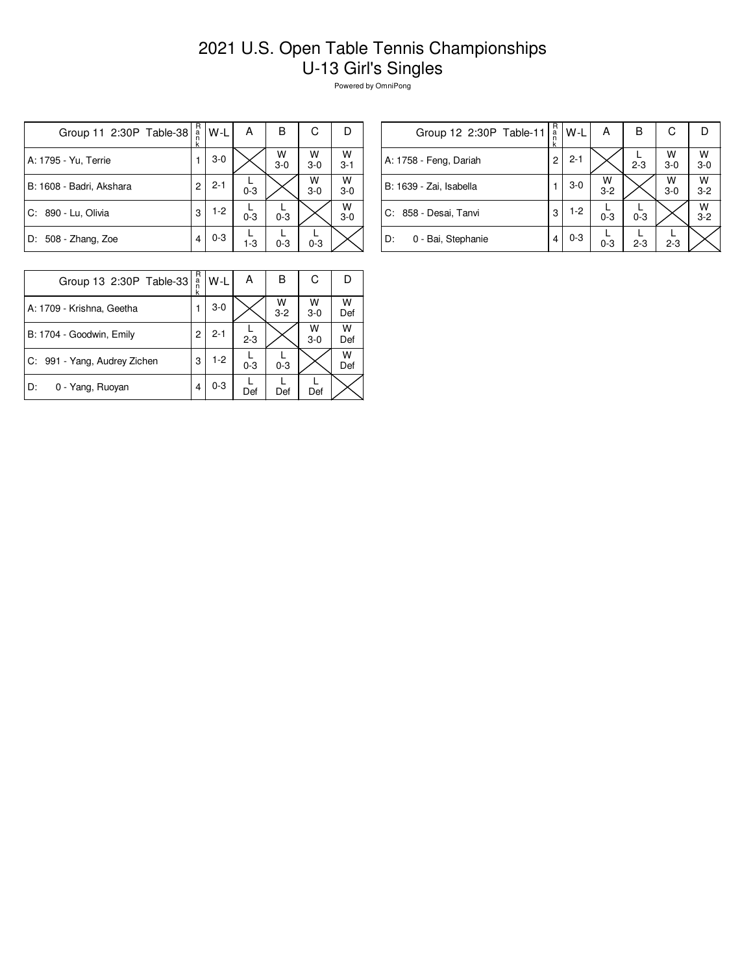## 2021 U.S. Open Table Tennis Championships U-13 Girl's Singles

Powered by OmniPong

| Group 11 2:30P Table-38  | R<br>а́<br>n<br>k | W-L     | А       | в          | С          | D            |
|--------------------------|-------------------|---------|---------|------------|------------|--------------|
| A: 1795 - Yu, Terrie     |                   | $3-0$   |         | W<br>$3-0$ | W<br>$3-0$ | W<br>$3 - 1$ |
| B: 1608 - Badri, Akshara | $\overline{c}$    | $2 - 1$ | $0 - 3$ |            | W<br>$3-0$ | W<br>$3-0$   |
| C: 890 - Lu, Olivia      | 3                 | $1-2$   | $0 - 3$ | $0 - 3$    |            | W<br>$3-0$   |
| D: 508 - Zhang, Zoe      | 4                 | $0 - 3$ | $1 - 3$ | $0 - 3$    | $0 - 3$    |              |

| Group 12 2:30P Table-11   | R<br>a<br>n<br>k | W-L     | А          | в       | С          |              |
|---------------------------|------------------|---------|------------|---------|------------|--------------|
| A: 1758 - Feng, Dariah    | 2                | $2 - 1$ |            | $2 - 3$ | W<br>$3-0$ | W<br>$3 - 0$ |
| B: 1639 - Zai, Isabella   |                  | $3-0$   | W<br>$3-2$ |         | W<br>$3-0$ | W<br>$3 - 2$ |
| l C: 858 - Desai, Tanvi   | 3                | $1-2$   | $0 - 3$    | $0 - 3$ |            | W<br>$3-2$   |
| ID:<br>0 - Bai, Stephanie | 4                | $0 - 3$ | $0 - 3$    | $2 - 3$ | $2 - 3$    |              |

| Group 13 2:30P Table-33      | R<br>$\frac{a}{n}$ | l W-L   | А       | в            | С          |          |
|------------------------------|--------------------|---------|---------|--------------|------------|----------|
| A: 1709 - Krishna, Geetha    |                    | $3-0$   |         | W<br>$3 - 2$ | W<br>$3-0$ | w<br>Def |
| B: 1704 - Goodwin, Emily     | 2                  | $2 - 1$ | $2 - 3$ |              | W<br>$3-0$ | W<br>Def |
| C: 991 - Yang, Audrey Zichen | 3                  | $1-2$   | $0 - 3$ | $0 - 3$      |            | w<br>Def |
| D:<br>0 - Yang, Ruoyan       | 4                  | $0 - 3$ | Def     | Def          | Def        |          |